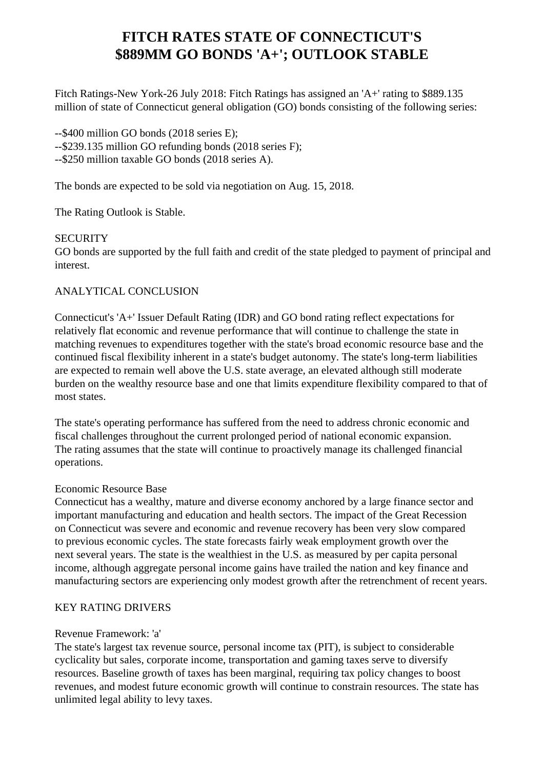# **FITCH RATES STATE OF CONNECTICUT'S \$889MM GO BONDS 'A+'; OUTLOOK STABLE**

 Fitch Ratings-New York-26 July 2018: Fitch Ratings has assigned an 'A+' rating to \$889.135 million of state of Connecticut general obligation (GO) bonds consisting of the following series:

--\$400 million GO bonds (2018 series E);

--\$239.135 million GO refunding bonds (2018 series F);

--\$250 million taxable GO bonds (2018 series A).

The bonds are expected to be sold via negotiation on Aug. 15, 2018.

The Rating Outlook is Stable.

## **SECURITY**

 GO bonds are supported by the full faith and credit of the state pledged to payment of principal and interest.

## ANALYTICAL CONCLUSION

 Connecticut's 'A+' Issuer Default Rating (IDR) and GO bond rating reflect expectations for relatively flat economic and revenue performance that will continue to challenge the state in matching revenues to expenditures together with the state's broad economic resource base and the continued fiscal flexibility inherent in a state's budget autonomy. The state's long-term liabilities are expected to remain well above the U.S. state average, an elevated although still moderate burden on the wealthy resource base and one that limits expenditure flexibility compared to that of most states.

 The state's operating performance has suffered from the need to address chronic economic and fiscal challenges throughout the current prolonged period of national economic expansion. The rating assumes that the state will continue to proactively manage its challenged financial operations.

#### Economic Resource Base

 Connecticut has a wealthy, mature and diverse economy anchored by a large finance sector and important manufacturing and education and health sectors. The impact of the Great Recession on Connecticut was severe and economic and revenue recovery has been very slow compared to previous economic cycles. The state forecasts fairly weak employment growth over the next several years. The state is the wealthiest in the U.S. as measured by per capita personal income, although aggregate personal income gains have trailed the nation and key finance and manufacturing sectors are experiencing only modest growth after the retrenchment of recent years.

## KEY RATING DRIVERS

#### Revenue Framework: 'a'

 The state's largest tax revenue source, personal income tax (PIT), is subject to considerable cyclicality but sales, corporate income, transportation and gaming taxes serve to diversify resources. Baseline growth of taxes has been marginal, requiring tax policy changes to boost revenues, and modest future economic growth will continue to constrain resources. The state has unlimited legal ability to levy taxes.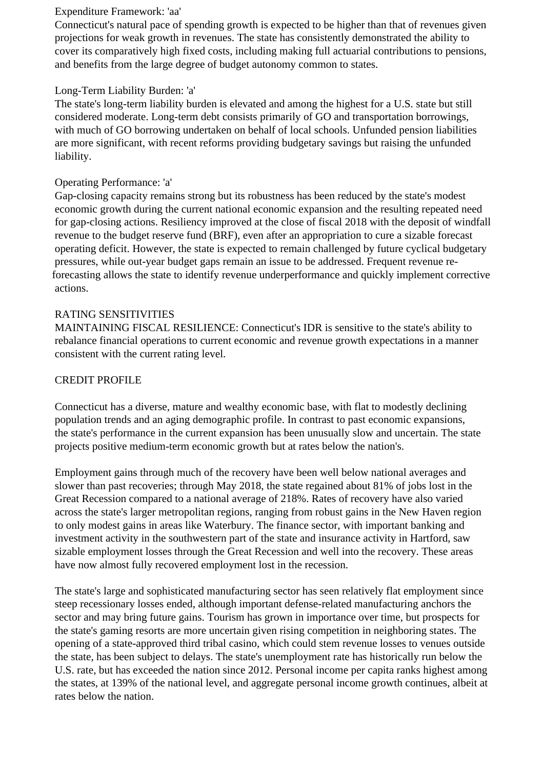#### Expenditure Framework: 'aa'

 Connecticut's natural pace of spending growth is expected to be higher than that of revenues given projections for weak growth in revenues. The state has consistently demonstrated the ability to cover its comparatively high fixed costs, including making full actuarial contributions to pensions, and benefits from the large degree of budget autonomy common to states.

## Long-Term Liability Burden: 'a'

 The state's long-term liability burden is elevated and among the highest for a U.S. state but still considered moderate. Long-term debt consists primarily of GO and transportation borrowings, with much of GO borrowing undertaken on behalf of local schools. Unfunded pension liabilities are more significant, with recent reforms providing budgetary savings but raising the unfunded liability.

## Operating Performance: 'a'

 Gap-closing capacity remains strong but its robustness has been reduced by the state's modest economic growth during the current national economic expansion and the resulting repeated need for gap-closing actions. Resiliency improved at the close of fiscal 2018 with the deposit of windfall revenue to the budget reserve fund (BRF), even after an appropriation to cure a sizable forecast operating deficit. However, the state is expected to remain challenged by future cyclical budgetary pressures, while out-year budget gaps remain an issue to be addressed. Frequent revenue reforecasting allows the state to identify revenue underperformance and quickly implement corrective actions.

## RATING SENSITIVITIES

 MAINTAINING FISCAL RESILIENCE: Connecticut's IDR is sensitive to the state's ability to rebalance financial operations to current economic and revenue growth expectations in a manner consistent with the current rating level.

## CREDIT PROFILE

 Connecticut has a diverse, mature and wealthy economic base, with flat to modestly declining population trends and an aging demographic profile. In contrast to past economic expansions, the state's performance in the current expansion has been unusually slow and uncertain. The state projects positive medium-term economic growth but at rates below the nation's.

 Employment gains through much of the recovery have been well below national averages and slower than past recoveries; through May 2018, the state regained about 81% of jobs lost in the Great Recession compared to a national average of 218%. Rates of recovery have also varied across the state's larger metropolitan regions, ranging from robust gains in the New Haven region to only modest gains in areas like Waterbury. The finance sector, with important banking and investment activity in the southwestern part of the state and insurance activity in Hartford, saw sizable employment losses through the Great Recession and well into the recovery. These areas have now almost fully recovered employment lost in the recession.

 The state's large and sophisticated manufacturing sector has seen relatively flat employment since steep recessionary losses ended, although important defense-related manufacturing anchors the sector and may bring future gains. Tourism has grown in importance over time, but prospects for the state's gaming resorts are more uncertain given rising competition in neighboring states. The opening of a state-approved third tribal casino, which could stem revenue losses to venues outside the state, has been subject to delays. The state's unemployment rate has historically run below the U.S. rate, but has exceeded the nation since 2012. Personal income per capita ranks highest among the states, at 139% of the national level, and aggregate personal income growth continues, albeit at rates below the nation.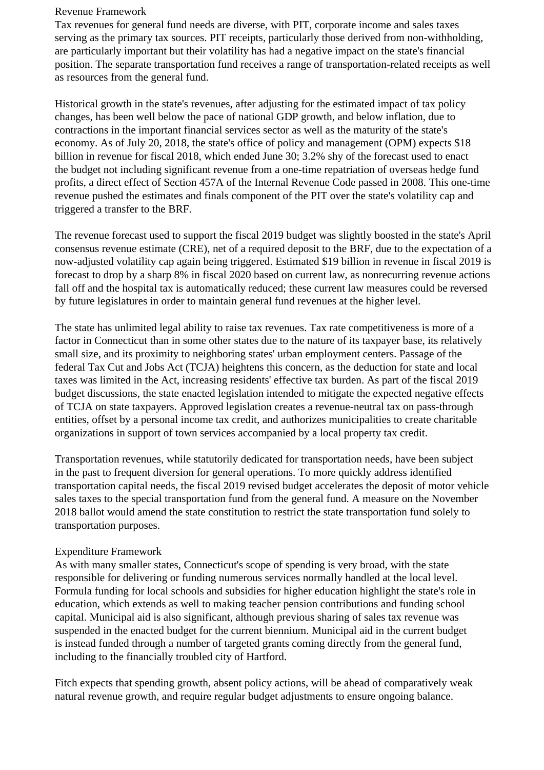#### Revenue Framework

 Tax revenues for general fund needs are diverse, with PIT, corporate income and sales taxes serving as the primary tax sources. PIT receipts, particularly those derived from non-withholding, are particularly important but their volatility has had a negative impact on the state's financial position. The separate transportation fund receives a range of transportation-related receipts as well as resources from the general fund.

 Historical growth in the state's revenues, after adjusting for the estimated impact of tax policy changes, has been well below the pace of national GDP growth, and below inflation, due to contractions in the important financial services sector as well as the maturity of the state's economy. As of July 20, 2018, the state's office of policy and management (OPM) expects \$18 billion in revenue for fiscal 2018, which ended June 30; 3.2% shy of the forecast used to enact the budget not including significant revenue from a one-time repatriation of overseas hedge fund profits, a direct effect of Section 457A of the Internal Revenue Code passed in 2008. This one-time revenue pushed the estimates and finals component of the PIT over the state's volatility cap and triggered a transfer to the BRF.

 The revenue forecast used to support the fiscal 2019 budget was slightly boosted in the state's April consensus revenue estimate (CRE), net of a required deposit to the BRF, due to the expectation of a now-adjusted volatility cap again being triggered. Estimated \$19 billion in revenue in fiscal 2019 is forecast to drop by a sharp 8% in fiscal 2020 based on current law, as nonrecurring revenue actions fall off and the hospital tax is automatically reduced; these current law measures could be reversed by future legislatures in order to maintain general fund revenues at the higher level.

 The state has unlimited legal ability to raise tax revenues. Tax rate competitiveness is more of a factor in Connecticut than in some other states due to the nature of its taxpayer base, its relatively small size, and its proximity to neighboring states' urban employment centers. Passage of the federal Tax Cut and Jobs Act (TCJA) heightens this concern, as the deduction for state and local taxes was limited in the Act, increasing residents' effective tax burden. As part of the fiscal 2019 budget discussions, the state enacted legislation intended to mitigate the expected negative effects of TCJA on state taxpayers. Approved legislation creates a revenue-neutral tax on pass-through entities, offset by a personal income tax credit, and authorizes municipalities to create charitable organizations in support of town services accompanied by a local property tax credit.

 Transportation revenues, while statutorily dedicated for transportation needs, have been subject in the past to frequent diversion for general operations. To more quickly address identified transportation capital needs, the fiscal 2019 revised budget accelerates the deposit of motor vehicle sales taxes to the special transportation fund from the general fund. A measure on the November 2018 ballot would amend the state constitution to restrict the state transportation fund solely to transportation purposes.

## Expenditure Framework

 As with many smaller states, Connecticut's scope of spending is very broad, with the state responsible for delivering or funding numerous services normally handled at the local level. Formula funding for local schools and subsidies for higher education highlight the state's role in education, which extends as well to making teacher pension contributions and funding school capital. Municipal aid is also significant, although previous sharing of sales tax revenue was suspended in the enacted budget for the current biennium. Municipal aid in the current budget is instead funded through a number of targeted grants coming directly from the general fund, including to the financially troubled city of Hartford.

 Fitch expects that spending growth, absent policy actions, will be ahead of comparatively weak natural revenue growth, and require regular budget adjustments to ensure ongoing balance.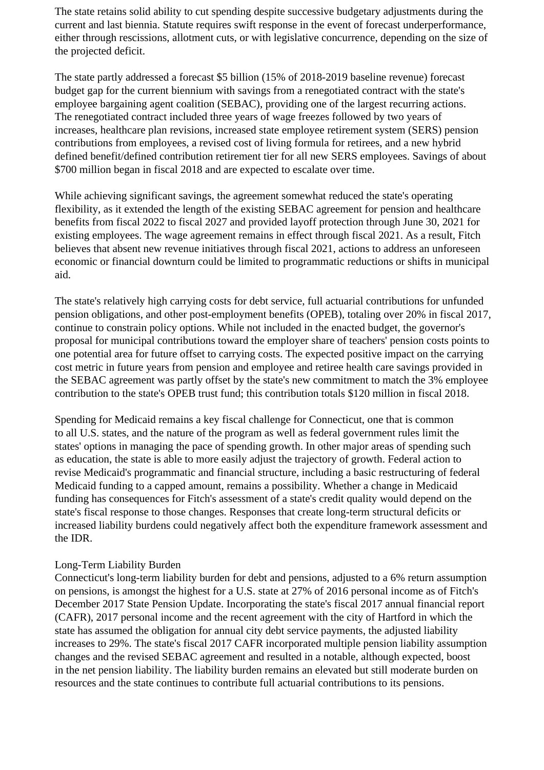The state retains solid ability to cut spending despite successive budgetary adjustments during the current and last biennia. Statute requires swift response in the event of forecast underperformance, either through rescissions, allotment cuts, or with legislative concurrence, depending on the size of the projected deficit.

 The state partly addressed a forecast \$5 billion (15% of 2018-2019 baseline revenue) forecast budget gap for the current biennium with savings from a renegotiated contract with the state's employee bargaining agent coalition (SEBAC), providing one of the largest recurring actions. The renegotiated contract included three years of wage freezes followed by two years of increases, healthcare plan revisions, increased state employee retirement system (SERS) pension contributions from employees, a revised cost of living formula for retirees, and a new hybrid defined benefit/defined contribution retirement tier for all new SERS employees. Savings of about \$700 million began in fiscal 2018 and are expected to escalate over time.

 While achieving significant savings, the agreement somewhat reduced the state's operating flexibility, as it extended the length of the existing SEBAC agreement for pension and healthcare benefits from fiscal 2022 to fiscal 2027 and provided layoff protection through June 30, 2021 for existing employees. The wage agreement remains in effect through fiscal 2021. As a result, Fitch believes that absent new revenue initiatives through fiscal 2021, actions to address an unforeseen economic or financial downturn could be limited to programmatic reductions or shifts in municipal aid.

 The state's relatively high carrying costs for debt service, full actuarial contributions for unfunded pension obligations, and other post-employment benefits (OPEB), totaling over 20% in fiscal 2017, continue to constrain policy options. While not included in the enacted budget, the governor's proposal for municipal contributions toward the employer share of teachers' pension costs points to one potential area for future offset to carrying costs. The expected positive impact on the carrying cost metric in future years from pension and employee and retiree health care savings provided in the SEBAC agreement was partly offset by the state's new commitment to match the 3% employee contribution to the state's OPEB trust fund; this contribution totals \$120 million in fiscal 2018.

 Spending for Medicaid remains a key fiscal challenge for Connecticut, one that is common to all U.S. states, and the nature of the program as well as federal government rules limit the states' options in managing the pace of spending growth. In other major areas of spending such as education, the state is able to more easily adjust the trajectory of growth. Federal action to revise Medicaid's programmatic and financial structure, including a basic restructuring of federal Medicaid funding to a capped amount, remains a possibility. Whether a change in Medicaid funding has consequences for Fitch's assessment of a state's credit quality would depend on the state's fiscal response to those changes. Responses that create long-term structural deficits or increased liability burdens could negatively affect both the expenditure framework assessment and the IDR.

#### Long-Term Liability Burden

 Connecticut's long-term liability burden for debt and pensions, adjusted to a 6% return assumption on pensions, is amongst the highest for a U.S. state at 27% of 2016 personal income as of Fitch's December 2017 State Pension Update. Incorporating the state's fiscal 2017 annual financial report (CAFR), 2017 personal income and the recent agreement with the city of Hartford in which the state has assumed the obligation for annual city debt service payments, the adjusted liability increases to 29%. The state's fiscal 2017 CAFR incorporated multiple pension liability assumption changes and the revised SEBAC agreement and resulted in a notable, although expected, boost in the net pension liability. The liability burden remains an elevated but still moderate burden on resources and the state continues to contribute full actuarial contributions to its pensions.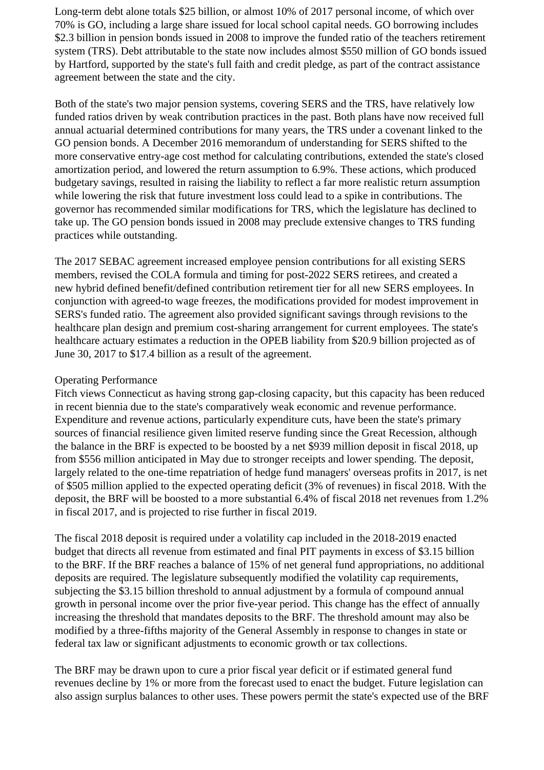Long-term debt alone totals \$25 billion, or almost 10% of 2017 personal income, of which over 70% is GO, including a large share issued for local school capital needs. GO borrowing includes \$2.3 billion in pension bonds issued in 2008 to improve the funded ratio of the teachers retirement system (TRS). Debt attributable to the state now includes almost \$550 million of GO bonds issued by Hartford, supported by the state's full faith and credit pledge, as part of the contract assistance agreement between the state and the city.

 Both of the state's two major pension systems, covering SERS and the TRS, have relatively low funded ratios driven by weak contribution practices in the past. Both plans have now received full annual actuarial determined contributions for many years, the TRS under a covenant linked to the GO pension bonds. A December 2016 memorandum of understanding for SERS shifted to the more conservative entry-age cost method for calculating contributions, extended the state's closed amortization period, and lowered the return assumption to 6.9%. These actions, which produced budgetary savings, resulted in raising the liability to reflect a far more realistic return assumption while lowering the risk that future investment loss could lead to a spike in contributions. The governor has recommended similar modifications for TRS, which the legislature has declined to take up. The GO pension bonds issued in 2008 may preclude extensive changes to TRS funding practices while outstanding.

 The 2017 SEBAC agreement increased employee pension contributions for all existing SERS members, revised the COLA formula and timing for post-2022 SERS retirees, and created a new hybrid defined benefit/defined contribution retirement tier for all new SERS employees. In conjunction with agreed-to wage freezes, the modifications provided for modest improvement in SERS's funded ratio. The agreement also provided significant savings through revisions to the healthcare plan design and premium cost-sharing arrangement for current employees. The state's healthcare actuary estimates a reduction in the OPEB liability from \$20.9 billion projected as of June 30, 2017 to \$17.4 billion as a result of the agreement.

#### Operating Performance

 Fitch views Connecticut as having strong gap-closing capacity, but this capacity has been reduced in recent biennia due to the state's comparatively weak economic and revenue performance. Expenditure and revenue actions, particularly expenditure cuts, have been the state's primary sources of financial resilience given limited reserve funding since the Great Recession, although the balance in the BRF is expected to be boosted by a net \$939 million deposit in fiscal 2018, up from \$556 million anticipated in May due to stronger receipts and lower spending. The deposit, largely related to the one-time repatriation of hedge fund managers' overseas profits in 2017, is net of \$505 million applied to the expected operating deficit (3% of revenues) in fiscal 2018. With the deposit, the BRF will be boosted to a more substantial 6.4% of fiscal 2018 net revenues from 1.2% in fiscal 2017, and is projected to rise further in fiscal 2019.

 The fiscal 2018 deposit is required under a volatility cap included in the 2018-2019 enacted budget that directs all revenue from estimated and final PIT payments in excess of \$3.15 billion to the BRF. If the BRF reaches a balance of 15% of net general fund appropriations, no additional deposits are required. The legislature subsequently modified the volatility cap requirements, subjecting the \$3.15 billion threshold to annual adjustment by a formula of compound annual growth in personal income over the prior five-year period. This change has the effect of annually increasing the threshold that mandates deposits to the BRF. The threshold amount may also be modified by a three-fifths majority of the General Assembly in response to changes in state or federal tax law or significant adjustments to economic growth or tax collections.

 The BRF may be drawn upon to cure a prior fiscal year deficit or if estimated general fund revenues decline by 1% or more from the forecast used to enact the budget. Future legislation can also assign surplus balances to other uses. These powers permit the state's expected use of the BRF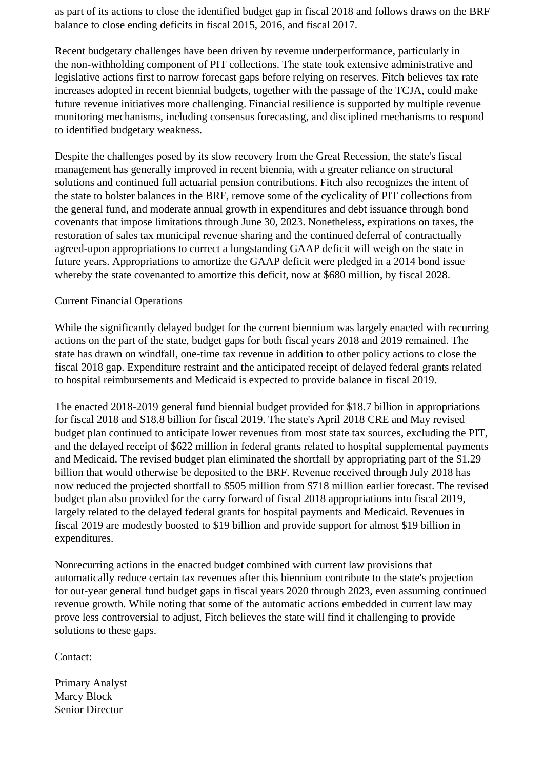as part of its actions to close the identified budget gap in fiscal 2018 and follows draws on the BRF balance to close ending deficits in fiscal 2015, 2016, and fiscal 2017.

 Recent budgetary challenges have been driven by revenue underperformance, particularly in the non-withholding component of PIT collections. The state took extensive administrative and legislative actions first to narrow forecast gaps before relying on reserves. Fitch believes tax rate increases adopted in recent biennial budgets, together with the passage of the TCJA, could make future revenue initiatives more challenging. Financial resilience is supported by multiple revenue monitoring mechanisms, including consensus forecasting, and disciplined mechanisms to respond to identified budgetary weakness.

 Despite the challenges posed by its slow recovery from the Great Recession, the state's fiscal management has generally improved in recent biennia, with a greater reliance on structural solutions and continued full actuarial pension contributions. Fitch also recognizes the intent of the state to bolster balances in the BRF, remove some of the cyclicality of PIT collections from the general fund, and moderate annual growth in expenditures and debt issuance through bond covenants that impose limitations through June 30, 2023. Nonetheless, expirations on taxes, the restoration of sales tax municipal revenue sharing and the continued deferral of contractually agreed-upon appropriations to correct a longstanding GAAP deficit will weigh on the state in future years. Appropriations to amortize the GAAP deficit were pledged in a 2014 bond issue whereby the state covenanted to amortize this deficit, now at \$680 million, by fiscal 2028.

#### Current Financial Operations

 While the significantly delayed budget for the current biennium was largely enacted with recurring actions on the part of the state, budget gaps for both fiscal years 2018 and 2019 remained. The state has drawn on windfall, one-time tax revenue in addition to other policy actions to close the fiscal 2018 gap. Expenditure restraint and the anticipated receipt of delayed federal grants related to hospital reimbursements and Medicaid is expected to provide balance in fiscal 2019.

 The enacted 2018-2019 general fund biennial budget provided for \$18.7 billion in appropriations for fiscal 2018 and \$18.8 billion for fiscal 2019. The state's April 2018 CRE and May revised budget plan continued to anticipate lower revenues from most state tax sources, excluding the PIT, and the delayed receipt of \$622 million in federal grants related to hospital supplemental payments and Medicaid. The revised budget plan eliminated the shortfall by appropriating part of the \$1.29 billion that would otherwise be deposited to the BRF. Revenue received through July 2018 has now reduced the projected shortfall to \$505 million from \$718 million earlier forecast. The revised budget plan also provided for the carry forward of fiscal 2018 appropriations into fiscal 2019, largely related to the delayed federal grants for hospital payments and Medicaid. Revenues in fiscal 2019 are modestly boosted to \$19 billion and provide support for almost \$19 billion in expenditures.

 Nonrecurring actions in the enacted budget combined with current law provisions that automatically reduce certain tax revenues after this biennium contribute to the state's projection for out-year general fund budget gaps in fiscal years 2020 through 2023, even assuming continued revenue growth. While noting that some of the automatic actions embedded in current law may prove less controversial to adjust, Fitch believes the state will find it challenging to provide solutions to these gaps.

Contact:

 Primary Analyst Marcy Block Senior Director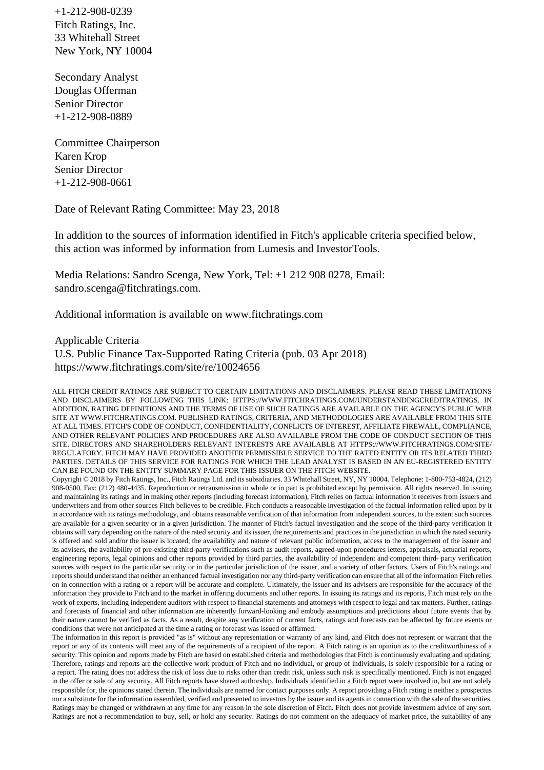+1-212-908-0239 Fitch Ratings, Inc. 33 Whitehall Street New York, NY 10004

 Secondary Analyst Douglas Offerman Senior Director +1-212-908-0889

 Committee Chairperson Karen Krop Senior Director +1-212-908-0661

Date of Relevant Rating Committee: May 23, 2018

 In addition to the sources of information identified in Fitch's applicable criteria specified below, this action was informed by information from Lumesis and InvestorTools.

 Media Relations: Sandro Scenga, New York, Tel: +1 212 908 0278, Email: sandro.scenga@fitchratings.com.

Additional information is available on www.fitchratings.com

 Applicable Criteria U.S. Public Finance Tax-Supported Rating Criteria (pub. 03 Apr 2018) https://www.fitchratings.com/site/re/10024656

ALL FITCH CREDIT RATINGS ARE SUBJECT TO CERTAIN LIMITATIONS AND DISCLAIMERS. PLEASE READ THESE LIMITATIONS AND DISCLAIMERS BY FOLLOWING THIS LINK: HTTPS://WWW.FITCHRATINGS.COM/UNDERSTANDINGCREDITRATINGS. IN ADDITION, RATING DEFINITIONS AND THE TERMS OF USE OF SUCH RATINGS ARE AVAILABLE ON THE AGENCY'S PUBLIC WEB SITE AT WWW.FITCHRATINGS.COM. PUBLISHED RATINGS, CRITERIA, AND METHODOLOGIES ARE AVAILABLE FROM THIS SITE AT ALL TIMES. FITCH'S CODE OF CONDUCT, CONFIDENTIALITY, CONFLICTS OF INTEREST, AFFILIATE FIREWALL, COMPLIANCE, AND OTHER RELEVANT POLICIES AND PROCEDURES ARE ALSO AVAILABLE FROM THE CODE OF CONDUCT SECTION OF THIS SITE. DIRECTORS AND SHAREHOLDERS RELEVANT INTERESTS ARE AVAILABLE AT HTTPS://WWW.FITCHRATINGS.COM/SITE/ REGULATORY. FITCH MAY HAVE PROVIDED ANOTHER PERMISSIBLE SERVICE TO THE RATED ENTITY OR ITS RELATED THIRD PARTIES. DETAILS OF THIS SERVICE FOR RATINGS FOR WHICH THE LEAD ANALYST IS BASED IN AN EU-REGISTERED ENTITY CAN BE FOUND ON THE ENTITY SUMMARY PAGE FOR THIS ISSUER ON THE FITCH WEBSITE.

Copyright © 2018 by Fitch Ratings, Inc., Fitch Ratings Ltd. and its subsidiaries. 33 Whitehall Street, NY, NY 10004. Telephone: 1-800-753-4824, (212) 908-0500. Fax: (212) 480-4435. Reproduction or retransmission in whole or in part is prohibited except by permission. All rights reserved. In issuing and maintaining its ratings and in making other reports (including forecast information), Fitch relies on factual information it receives from issuers and underwriters and from other sources Fitch believes to be credible. Fitch conducts a reasonable investigation of the factual information relied upon by it in accordance with its ratings methodology, and obtains reasonable verification of that information from independent sources, to the extent such sources are available for a given security or in a given jurisdiction. The manner of Fitch's factual investigation and the scope of the third-party verification it obtains will vary depending on the nature of the rated security and its issuer, the requirements and practices in the jurisdiction in which the rated security is offered and sold and/or the issuer is located, the availability and nature of relevant public information, access to the management of the issuer and its advisers, the availability of pre-existing third-party verifications such as audit reports, agreed-upon procedures letters, appraisals, actuarial reports, engineering reports, legal opinions and other reports provided by third parties, the availability of independent and competent third- party verification sources with respect to the particular security or in the particular jurisdiction of the issuer, and a variety of other factors. Users of Fitch's ratings and reports should understand that neither an enhanced factual investigation nor any third-party verification can ensure that all of the information Fitch relies on in connection with a rating or a report will be accurate and complete. Ultimately, the issuer and its advisers are responsible for the accuracy of the information they provide to Fitch and to the market in offering documents and other reports. In issuing its ratings and its reports, Fitch must rely on the work of experts, including independent auditors with respect to financial statements and attorneys with respect to legal and tax matters. Further, ratings and forecasts of financial and other information are inherently forward-looking and embody assumptions and predictions about future events that by their nature cannot be verified as facts. As a result, despite any verification of current facts, ratings and forecasts can be affected by future events or conditions that were not anticipated at the time a rating or forecast was issued or affirmed.

The information in this report is provided "as is" without any representation or warranty of any kind, and Fitch does not represent or warrant that the report or any of its contents will meet any of the requirements of a recipient of the report. A Fitch rating is an opinion as to the creditworthiness of a security. This opinion and reports made by Fitch are based on established criteria and methodologies that Fitch is continuously evaluating and updating. Therefore, ratings and reports are the collective work product of Fitch and no individual, or group of individuals, is solely responsible for a rating or a report. The rating does not address the risk of loss due to risks other than credit risk, unless such risk is specifically mentioned. Fitch is not engaged in the offer or sale of any security. All Fitch reports have shared authorship. Individuals identified in a Fitch report were involved in, but are not solely responsible for, the opinions stated therein. The individuals are named for contact purposes only. A report providing a Fitch rating is neither a prospectus nor a substitute for the information assembled, verified and presented to investors by the issuer and its agents in connection with the sale of the securities. Ratings may be changed or withdrawn at any time for any reason in the sole discretion of Fitch. Fitch does not provide investment advice of any sort. Ratings are not a recommendation to buy, sell, or hold any security. Ratings do not comment on the adequacy of market price, the suitability of any